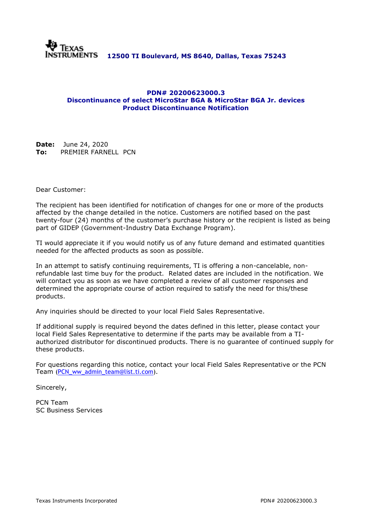

### **PDN# 20200623000.3 Discontinuance of select MicroStar BGA & MicroStar BGA Jr. devices Product Discontinuance Notification**

**Date:** June 24, 2020 **To:** PREMIER FARNELL PCN

Dear Customer:

The recipient has been identified for notification of changes for one or more of the products affected by the change detailed in the notice. Customers are notified based on the past twenty-four (24) months of the customer's purchase history or the recipient is listed as being part of GIDEP (Government-Industry Data Exchange Program).

TI would appreciate it if you would notify us of any future demand and estimated quantities needed for the affected products as soon as possible.

In an attempt to satisfy continuing requirements, TI is offering a non-cancelable, nonrefundable last time buy for the product. Related dates are included in the notification. We will contact you as soon as we have completed a review of all customer responses and determined the appropriate course of action required to satisfy the need for this/these products.

Any inquiries should be directed to your local Field Sales Representative.

If additional supply is required beyond the dates defined in this letter, please contact your local Field Sales Representative to determine if the parts may be available from a TIauthorized distributor for discontinued products. There is no guarantee of continued supply for these products.

For questions regarding this notice, contact your local Field Sales Representative or the PCN Team [\(PCN\\_ww\\_admin\\_team@list.ti.com\)](mailto:PCN_ww_admin_team@list.ti.com).

Sincerely,

PCN Team SC Business Services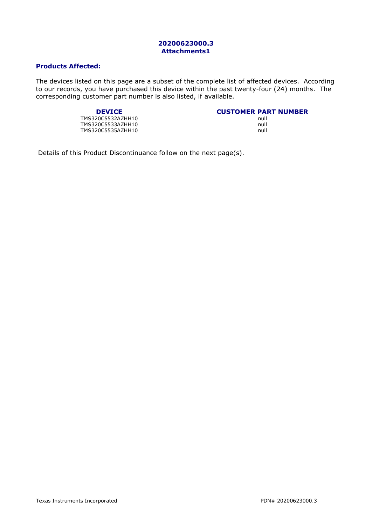### **20200623000.3 Attachments1**

### **Products Affected:**

The devices listed on this page are a subset of the complete list of affected devices. According to our records, you have purchased this device within the past twenty-four (24) months. The corresponding customer part number is also listed, if available.

#### **DEVICE CUSTOMER PART NUMBER**

TMS320C5532AZHH10 TMS320C5533AZHH10 null TMS320C5535AZHH10

| <b>CUSTOMER PART NUMBER</b> |      |  |
|-----------------------------|------|--|
|                             | null |  |
|                             | null |  |

Details of this Product Discontinuance follow on the next page(s).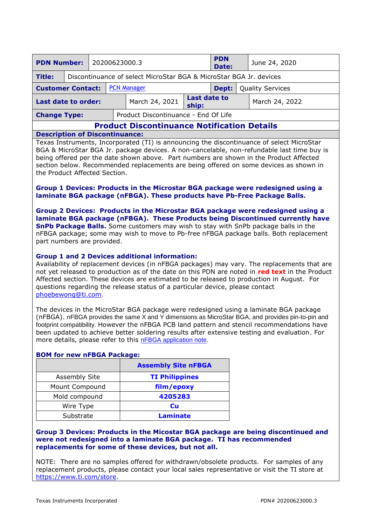| <b>PDN Number:</b><br>20200623000.3                                                |  |  |  |                                                                    | <b>PDN</b><br>Date:          |  | June 24, 2020 |                |
|------------------------------------------------------------------------------------|--|--|--|--------------------------------------------------------------------|------------------------------|--|---------------|----------------|
| <b>Title:</b>                                                                      |  |  |  | Discontinuance of select MicroStar BGA & MicroStar BGA Jr. devices |                              |  |               |                |
| <b>PCN Manager</b><br><b>Quality Services</b><br><b>Customer Contact:</b><br>Dept: |  |  |  |                                                                    |                              |  |               |                |
| <b>Last date to order:</b>                                                         |  |  |  | March 24, 2021                                                     | <b>Last date to</b><br>ship: |  |               | March 24, 2022 |
| Product Discontinuance - End Of Life<br><b>Change Type:</b>                        |  |  |  |                                                                    |                              |  |               |                |
| <b>Product Discontinuance Notification Details</b>                                 |  |  |  |                                                                    |                              |  |               |                |

#### **Description of Discontinuance:**

Texas Instruments, Incorporated (TI) is announcing the discontinuance of select MicroStar BGA & MicroStar BGA Jr. package devices. A non-cancelable, non-refundable last time buy is being offered per the date shown above. Part numbers are shown in the Product Affected section below. Recommended replacements are being offered on some devices as shown in the Product Affected Section.

### **Group 1 Devices: Products in the Microstar BGA package were redesigned using a laminate BGA package (nFBGA). These products have Pb-Free Package Balls.**

**Group 2 Devices: Products in the Microstar BGA package were redesigned using a laminate BGA package (nFBGA). These Products being Discontinued currently have SnPb Package Balls.** Some customers may wish to stay with SnPb package balls in the nFBGA package; some may wish to move to Pb-free nFBGA package balls. Both replacement part numbers are provided.

### **Group 1 and 2 Devices additional information:**

Availability of replacement devices (in nFBGA packages) may vary. The replacements that are not yet released to production as of the date on this PDN are noted in **red text** in the Product Affected section. These devices are estimated to be released to production in August. For questions regarding the release status of a particular device, please contact [phoebewong@ti.com.](mailto:phoebewong@ti.com)

The devices in the MicroStar BGA package were redesigned using a laminate BGA package (nFBGA). nFBGA provides the same X and Y dimensions as MicroStar BGA, and provides pin-to-pin and footprint compatibility. However the nFBGA PCB land pattern and stencil recommendations have been updated to achieve better soldering results after extensive testing and evaluation. For more details, please refer to this [nFBGA application note.](http://www.ti.com/litv/pdf/spraa99b)

|                      | <b>Assembly Site nFBGA</b> |
|----------------------|----------------------------|
| <b>Assembly Site</b> | <b>TI Philippines</b>      |
| Mount Compound       | film/epoxy                 |
| Mold compound        | 4205283                    |
| Wire Type            | Cu                         |
| Substrate            | <b>Laminate</b>            |

### **BOM for new nFBGA Package:**

#### **Group 3 Devices: Products in the Micostar BGA package are being discontinued and were not redesigned into a laminate BGA package. TI has recommended replacements for some of these devices, but not all.**

NOTE: There are no samples offered for withdrawn/obsolete products. For samples of any replacement products, please contact your local sales representative or visit the TI store at [https://www.ti.com/store.](https://www.ti.com/store)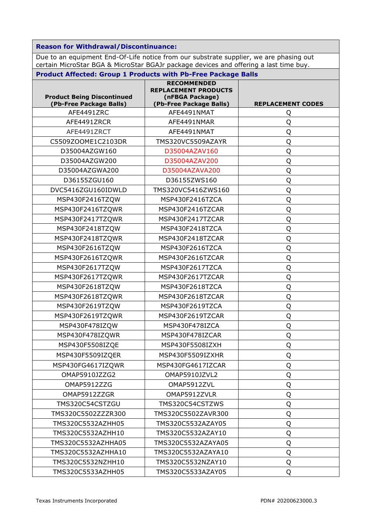**Reason for Withdrawal/Discontinuance:**

Due to an equipment End-Of-Life notice from our substrate supplier, we are phasing out certain MicroStar BGA & MicroStar BGAJr package devices and offering a last time buy.

| <b>Product Being Discontinued</b><br>(Pb-Free Package Balls) | <b>RECOMMENDED</b><br><b>REPLACEMENT PRODUCTS</b><br>(nFBGA Package)<br>(Pb-Free Package Balls) | <b>REPLACEMENT CODES</b> |  |  |
|--------------------------------------------------------------|-------------------------------------------------------------------------------------------------|--------------------------|--|--|
| AFE4491ZRC                                                   | AFE4491NMAT                                                                                     | Q                        |  |  |
| AFE4491ZRCR                                                  | AFE4491NMAR                                                                                     | Q                        |  |  |
| AFE4491ZRCT                                                  | AFE4491NMAT                                                                                     | Q                        |  |  |
| C5509ZOOME1C2103DR                                           | TMS320VC5509AZAYR                                                                               | Q                        |  |  |
| D35004AZGW160                                                | D35004AZAV160                                                                                   | Q                        |  |  |
| D35004AZGW200                                                | D35004AZAV200                                                                                   | Q                        |  |  |
| D35004AZGWA200                                               | D35004AZAVA200                                                                                  | Q                        |  |  |
| D36155ZGU160                                                 | D36155ZWS160                                                                                    | Q                        |  |  |
| DVC5416ZGU160IDWLD                                           | TMS320VC5416ZWS160                                                                              | Q                        |  |  |
| MSP430F2416TZQW                                              | MSP430F2416TZCA                                                                                 | Q                        |  |  |
| MSP430F2416TZQWR                                             | MSP430F2416TZCAR                                                                                | Q                        |  |  |
| MSP430F2417TZQWR                                             | MSP430F2417TZCAR                                                                                | Q                        |  |  |
| MSP430F2418TZQW                                              | MSP430F2418TZCA                                                                                 | Q                        |  |  |
| MSP430F2418TZQWR                                             | MSP430F2418TZCAR                                                                                | Q                        |  |  |
| MSP430F2616TZQW                                              | MSP430F2616TZCA                                                                                 | Q                        |  |  |
| MSP430F2616TZQWR                                             | MSP430F2616TZCAR                                                                                | Q                        |  |  |
| MSP430F2617TZQW                                              | MSP430F2617TZCA                                                                                 | Q                        |  |  |
| MSP430F2617TZQWR                                             | MSP430F2617TZCAR                                                                                | Q                        |  |  |
| MSP430F2618TZQW                                              | MSP430F2618TZCA                                                                                 | Q                        |  |  |
| MSP430F2618TZQWR                                             | MSP430F2618TZCAR                                                                                | Q                        |  |  |
| MSP430F2619TZQW                                              | MSP430F2619TZCA                                                                                 | Q                        |  |  |
| MSP430F2619TZQWR                                             | MSP430F2619TZCAR                                                                                | Q                        |  |  |
| MSP430F478IZQW                                               | MSP430F478IZCA                                                                                  | Q                        |  |  |
| MSP430F478IZQWR                                              | MSP430F478IZCAR                                                                                 | Q                        |  |  |
| MSP430F5508IZQE                                              | MSP430F5508IZXH                                                                                 | Q                        |  |  |
| MSP430F5509IZQER                                             | MSP430F5509IZXHR                                                                                | $\overline{O}$<br>∼      |  |  |
| MSP430FG4617IZQWR                                            | MSP430FG4617IZCAR                                                                               | Q                        |  |  |
| OMAP5910JZZG2                                                | OMAP5910JZVL2                                                                                   | Q                        |  |  |
| OMAP5912ZZG                                                  | OMAP5912ZVL                                                                                     | Q                        |  |  |
| OMAP5912ZZGR                                                 | OMAP5912ZVLR                                                                                    | Q                        |  |  |
| TMS320C54CSTZGU                                              | TMS320C54CSTZWS                                                                                 | Q                        |  |  |
| TMS320C5502ZZZR300                                           | TMS320C5502ZAVR300                                                                              | Q                        |  |  |
| TMS320C5532AZHH05                                            | TMS320C5532AZAY05                                                                               | Q                        |  |  |
| TMS320C5532AZHH10                                            | TMS320C5532AZAY10                                                                               | Q                        |  |  |
| TMS320C5532AZHHA05                                           | TMS320C5532AZAYA05                                                                              | Q                        |  |  |
| TMS320C5532AZHHA10                                           | TMS320C5532AZAYA10                                                                              | Q                        |  |  |
| TMS320C5532NZHH10                                            | TMS320C5532NZAY10                                                                               | Q                        |  |  |
| TMS320C5533AZHH05                                            | TMS320C5533AZAY05                                                                               | Q                        |  |  |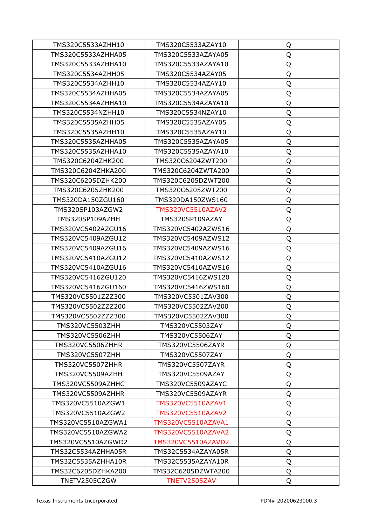| TMS320C5533AZHH10       | TMS320C5533AZAY10       | Q |
|-------------------------|-------------------------|---|
| TMS320C5533AZHHA05      | TMS320C5533AZAYA05      | Q |
| TMS320C5533AZHHA10      | TMS320C5533AZAYA10      | Q |
| TMS320C5534AZHH05       | TMS320C5534AZAY05       | Q |
| TMS320C5534AZHH10       | TMS320C5534AZAY10       | Q |
| TMS320C5534AZHHA05      | TMS320C5534AZAYA05      | Q |
| TMS320C5534AZHHA10      | TMS320C5534AZAYA10      | Q |
| TMS320C5534NZHH10       | TMS320C5534NZAY10       | Q |
| TMS320C5535AZHH05       | TMS320C5535AZAY05       | Q |
| TMS320C5535AZHH10       | TMS320C5535AZAY10       | Q |
| TMS320C5535AZHHA05      | TMS320C5535AZAYA05      | Q |
| TMS320C5535AZHHA10      | TMS320C5535AZAYA10      | Q |
| TMS320C6204ZHK200       | TMS320C6204ZWT200       | Q |
| TMS320C6204ZHKA200      | TMS320C6204ZWTA200      | Q |
| TMS320C6205DZHK200      | TMS320C6205DZWT200      | Q |
| TMS320C6205ZHK200       | TMS320C6205ZWT200       | Q |
| TMS320DA150ZGU160       | TMS320DA150ZWS160       | Q |
| TMS320SP103AZGW2        | TMS320VC5510AZAV2       | Q |
| TMS320SP109AZHH         | TMS320SP109AZAY         | Q |
| TMS320VC5402AZGU16      | TMS320VC5402AZWS16      | Q |
| TMS320VC5409AZGU12      | TMS320VC5409AZWS12      | Q |
| TMS320VC5409AZGU16      | TMS320VC5409AZWS16      | Q |
| TMS320VC5410AZGU12      | TMS320VC5410AZWS12      | Q |
| TMS320VC5410AZGU16      | TMS320VC5410AZWS16      | Q |
| TMS320VC5416ZGU120      | TMS320VC5416ZWS120      | Q |
| TMS320VC5416ZGU160      | TMS320VC5416ZWS160      | Q |
| TMS320VC5501ZZZ300      | TMS320VC5501ZAV300      | Q |
| TMS320VC5502ZZZ200      | TMS320VC5502ZAV200      | Q |
| TMS320VC5502ZZZ300      | TMS320VC5502ZAV300      | Q |
| TMS320VC5503ZHH         | TMS320VC5503ZAY         | Q |
| TMS320VC5506ZHH         | <b>TMS320VC5506ZAY</b>  | Q |
| <b>TMS320VC5506ZHHR</b> | <b>TMS320VC5506ZAYR</b> | Q |
| <b>TMS320VC5507ZHH</b>  | <b>TMS320VC5507ZAY</b>  | Q |
| <b>TMS320VC5507ZHHR</b> | <b>TMS320VC5507ZAYR</b> | Q |
| TMS320VC5509AZHH        | TMS320VC5509AZAY        | Q |
| TMS320VC5509AZHHC       | TMS320VC5509AZAYC       | Q |
| TMS320VC5509AZHHR       | TMS320VC5509AZAYR       | Q |
| TMS320VC5510AZGW1       | TMS320VC5510AZAV1       | Q |
| TMS320VC5510AZGW2       | TMS320VC5510AZAV2       | Q |
| TMS320VC5510AZGWA1      | TMS320VC5510AZAVA1      | Q |
| TMS320VC5510AZGWA2      | TMS320VC5510AZAVA2      | Q |
| TMS320VC5510AZGWD2      | TMS320VC5510AZAVD2      | Q |
| TMS32C5534AZHHA05R      | TMS32C5534AZAYA05R      | Q |
| TMS32C5535AZHHA10R      | TMS32C5535AZAYA10R      | Q |
| TMS32C6205DZHKA200      | TMS32C6205DZWTA200      | Q |
| TNETV2505CZGW           | TNETV2505ZAV            | Q |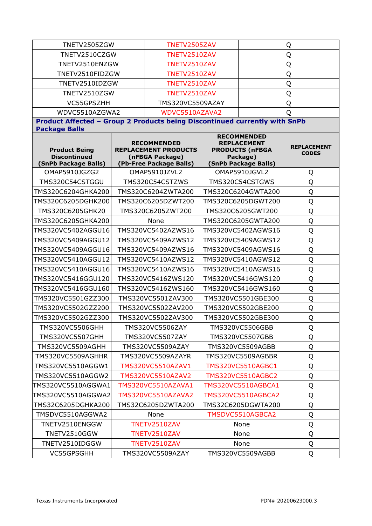| TNETV2505ZGW                                                                                       | TNETV2505ZAV                                                                                    |                    | Q                                                                                                      |                                    |  |  |
|----------------------------------------------------------------------------------------------------|-------------------------------------------------------------------------------------------------|--------------------|--------------------------------------------------------------------------------------------------------|------------------------------------|--|--|
| TNETV2510CZGW                                                                                      | TNETV2510ZAV                                                                                    |                    | Q                                                                                                      |                                    |  |  |
| TNETV2510ENZGW                                                                                     | TNETV2510ZAV                                                                                    |                    |                                                                                                        | Q                                  |  |  |
| TNETV2510FIDZGW                                                                                    | TNETV2510ZAV                                                                                    |                    |                                                                                                        | Q                                  |  |  |
| TNETV2510IDZGW                                                                                     | TNETV2510ZAV                                                                                    |                    | Q                                                                                                      |                                    |  |  |
| TNETV2510ZGW                                                                                       | TNETV2510ZAV                                                                                    |                    |                                                                                                        | Q                                  |  |  |
| VC55GPSZHH                                                                                         | TMS320VC5509AZAY                                                                                |                    |                                                                                                        | Q                                  |  |  |
| WDVC5510AZGWA2                                                                                     | WDVC5510AZAVA2                                                                                  |                    |                                                                                                        | Q                                  |  |  |
| Product Affected - Group 2 Products being Discontinued currently with SnPb<br><b>Package Balls</b> |                                                                                                 |                    |                                                                                                        |                                    |  |  |
| <b>Product Being</b><br><b>Discontinued</b><br>(SnPb Package Balls)                                | <b>RECOMMENDED</b><br><b>REPLACEMENT PRODUCTS</b><br>(nFBGA Package)<br>(Pb-Free Package Balls) |                    | <b>RECOMMENDED</b><br><b>REPLACEMENT</b><br><b>PRODUCTS (nFBGA</b><br>Package)<br>(SnPb Package Balls) | <b>REPLACEMENT</b><br><b>CODES</b> |  |  |
| OMAP5910JGZG2                                                                                      | OMAP5910JZVL2                                                                                   |                    | OMAP5910JGVL2                                                                                          | Q                                  |  |  |
| TMS320C54CSTGGU                                                                                    | TMS320C54CSTZWS                                                                                 |                    | TMS320C54CSTGWS                                                                                        | Q                                  |  |  |
| TMS320C6204GHKA200                                                                                 | TMS320C6204ZWTA200                                                                              |                    | TMS320C6204GWTA200                                                                                     | Q                                  |  |  |
| TMS320C6205DGHK200                                                                                 | TMS320C6205DZWT200                                                                              |                    | TMS320C6205DGWT200                                                                                     | Q                                  |  |  |
| TMS320C6205GHK20                                                                                   | TMS320C6205ZWT200                                                                               | TMS320C6205GWT200  |                                                                                                        | Q                                  |  |  |
| TMS320C6205GHKA200                                                                                 | None                                                                                            |                    | TMS320C6205GWTA200                                                                                     | Q                                  |  |  |
| TMS320VC5402AGGU16                                                                                 | TMS320VC5402AZWS16                                                                              |                    | TMS320VC5402AGWS16                                                                                     | Q                                  |  |  |
| TMS320VC5409AGGU12                                                                                 | TMS320VC5409AZWS12                                                                              |                    | TMS320VC5409AGWS12                                                                                     | Q                                  |  |  |
| TMS320VC5409AGGU16                                                                                 | TMS320VC5409AZWS16                                                                              |                    | TMS320VC5409AGWS16                                                                                     | Q                                  |  |  |
| TMS320VC5410AGGU12                                                                                 | TMS320VC5410AZWS12                                                                              |                    | TMS320VC5410AGWS12                                                                                     | Q                                  |  |  |
| TMS320VC5410AGGU16                                                                                 | TMS320VC5410AZWS16                                                                              |                    | TMS320VC5410AGWS16                                                                                     | Q                                  |  |  |
| TMS320VC5416GGU120                                                                                 | TMS320VC5416ZWS120                                                                              | TMS320VC5416GWS120 |                                                                                                        | Q                                  |  |  |
| TMS320VC5416GGU160                                                                                 | TMS320VC5416ZWS160                                                                              | TMS320VC5416GWS160 |                                                                                                        | Q                                  |  |  |
| TMS320VC5501GZZ300                                                                                 | TMS320VC5501ZAV300                                                                              |                    | TMS320VC5501GBE300                                                                                     | Q                                  |  |  |
| TMS320VC5502GZZ200                                                                                 | TMS320VC5502ZAV200                                                                              |                    | TMS320VC5502GBE200                                                                                     | Q                                  |  |  |
| TMS320VC5502GZZ300                                                                                 | TMS320VC5502ZAV300                                                                              |                    | TMS320VC5502GBE300                                                                                     | $\overline{Q}$                     |  |  |
| <b>TMS320VC5506GHH</b>                                                                             | TMS320VC5506ZAY                                                                                 |                    | TMS320VC5506GBB                                                                                        | Q                                  |  |  |
| <b>TMS320VC5507GHH</b>                                                                             | TMS320VC5507ZAY                                                                                 |                    | TMS320VC5507GBB                                                                                        | Q                                  |  |  |
| TMS320VC5509AGHH                                                                                   | TMS320VC5509AZAY                                                                                |                    | TMS320VC5509AGBB                                                                                       | Q                                  |  |  |
| TMS320VC5509AGHHR                                                                                  | TMS320VC5509AZAYR                                                                               |                    | TMS320VC5509AGBBR                                                                                      | Q                                  |  |  |
| TMS320VC5510AGGW1                                                                                  | TMS320VC5510AZAV1                                                                               |                    | TMS320VC5510AGBC1                                                                                      | Q                                  |  |  |
| TMS320VC5510AGGW2                                                                                  | TMS320VC5510AZAV2                                                                               |                    | <b>TMS320VC5510AGBC2</b>                                                                               | Q                                  |  |  |
| TMS320VC5510AGGWA1                                                                                 | TMS320VC5510AZAVA1                                                                              |                    | TMS320VC5510AGBCA1                                                                                     | Q                                  |  |  |
| TMS320VC5510AGGWA2                                                                                 | TMS320VC5510AZAVA2                                                                              |                    | <b>TMS320VC5510AGBCA2</b>                                                                              | Q                                  |  |  |
| TMS32C6205DGHKA200                                                                                 | TMS32C6205DZWTA200                                                                              |                    | TMS32C6205DGWTA200                                                                                     | Q                                  |  |  |
| TMSDVC5510AGGWA2                                                                                   | None                                                                                            |                    | TMSDVC5510AGBCA2                                                                                       | Q                                  |  |  |
| TNETV2510ENGGW                                                                                     | TNETV2510ZAV                                                                                    |                    | None                                                                                                   | Q                                  |  |  |
| TNETV2510GGW                                                                                       | TNETV2510ZAV                                                                                    |                    | None                                                                                                   | Q                                  |  |  |
| TNETV2510IDGGW                                                                                     | TNETV2510ZAV                                                                                    |                    | None                                                                                                   | Q                                  |  |  |
| VC55GPSGHH                                                                                         | TMS320VC5509AZAY                                                                                |                    | TMS320VC5509AGBB                                                                                       | Q                                  |  |  |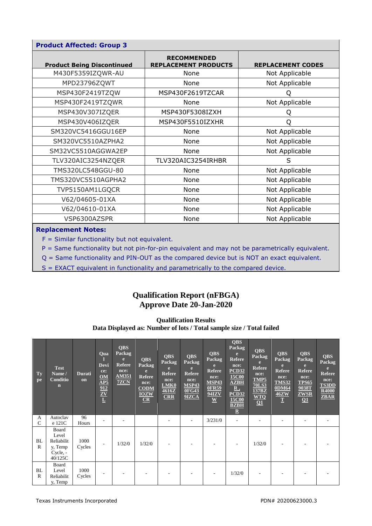| <b>Product Affected: Group 3</b>  |                                                   |                          |  |  |  |  |  |  |  |  |
|-----------------------------------|---------------------------------------------------|--------------------------|--|--|--|--|--|--|--|--|
| <b>Product Being Discontinued</b> | <b>RECOMMENDED</b><br><b>REPLACEMENT PRODUCTS</b> | <b>REPLACEMENT CODES</b> |  |  |  |  |  |  |  |  |
| M430F5359IZQWR-AU                 | None                                              | Not Applicable           |  |  |  |  |  |  |  |  |
| MPD23796ZQWT                      | None                                              | Not Applicable           |  |  |  |  |  |  |  |  |
| MSP430F2419TZQW                   | MSP430F2619TZCAR                                  | O                        |  |  |  |  |  |  |  |  |
| MSP430F2419TZQWR                  | None                                              | Not Applicable           |  |  |  |  |  |  |  |  |
| MSP430V307IZQER                   | MSP430F5308IZXH                                   | Q                        |  |  |  |  |  |  |  |  |
| MSP430V406IZQER                   | MSP430F5510IZXHR                                  | O                        |  |  |  |  |  |  |  |  |
| SM320VC5416GGU16EP                | None                                              | Not Applicable           |  |  |  |  |  |  |  |  |
| SM320VC5510AZPHA2                 | None                                              | Not Applicable           |  |  |  |  |  |  |  |  |
| SM32VC5510AGGWA2EP                | None                                              | Not Applicable           |  |  |  |  |  |  |  |  |
| TLV320AIC3254NZQER                | TLV320AIC3254IRHBR                                | S                        |  |  |  |  |  |  |  |  |
| TMS320LC548GGU-80                 | None                                              | Not Applicable           |  |  |  |  |  |  |  |  |
| TMS320VC5510AGPHA2                | None                                              | Not Applicable           |  |  |  |  |  |  |  |  |
| TVP5150AM1LGQCR                   | None                                              | Not Applicable           |  |  |  |  |  |  |  |  |
| V62/04605-01XA                    | None                                              | Not Applicable           |  |  |  |  |  |  |  |  |
| V62/04610-01XA                    | None                                              | Not Applicable           |  |  |  |  |  |  |  |  |
| VSP6300AZSPR                      | None                                              | Not Applicable           |  |  |  |  |  |  |  |  |

#### **Replacement Notes:**

 $F =$  Similar functionality but not equivalent.

P = Same functionality but not pin-for-pin equivalent and may not be parametrically equivalent.

Q = Same functionality and PIN-OUT as the compared device but is NOT an exact equivalent.

S = EXACT equivalent in functionality and parametrically to the compared device.

## **Qualification Report (nFBGA) Approve Date 20-Jan-2020**

**Qualification Results Data Displayed as: Number of lots / Total sample size / Total failed**

| <b>Ty</b><br>pe    | <b>Test</b><br>Name/<br>Conditio<br>$\mathbf n$                | <b>Durati</b><br>on | Qua<br><b>Devi</b><br>ce:<br>OM<br>$\overline{\mathbf{AP5}}$<br>$\frac{912}{\underline{ZV}}$ | <b>QBS</b><br>Packag<br>e<br><b>Refere</b><br>nce:<br><b>AM351</b><br><b>7ZCN</b> | <b>QBS</b><br>Packag<br>e<br><b>Refere</b><br>nce:<br>$\overline{COM}$<br><b>IOZW</b><br>$CR$ | <b>QBS</b><br>Packag<br>æ.<br><b>Refere</b><br>nce:<br>LMK0<br>4616Z<br>CRR | <b>QBS</b><br>Packag<br><b>Refere</b><br>nce:<br><b>MSP43</b><br><b>OFG43</b><br>$9$ IZCA | <b>QBS</b><br>Packag<br>e<br><b>Refere</b><br>nce:<br><b>MSP43</b><br><b>OFR59</b><br><b>94IZV</b><br>$\underline{\mathbf{W}}$ | <b>QBS</b><br>Packag<br>e<br><b>Refere</b><br>nce:<br><b>PCD32</b><br>15C00<br>AZBH<br>$\underline{\mathbf{R}}$ ,<br>PCD32<br>15C00<br><b>BZBH</b><br>$\underline{\mathbf{R}}$ | <b>QBS</b><br>Packag<br>e<br><b>Refere</b><br>nce:<br>TMP5<br><b>70LS3</b><br>137BZ<br>$\frac{\text{WTO}}{\text{O1}}$ | <b>QBS</b><br>Packag<br><b>Refere</b><br>nce:<br><b>TMS32</b><br>0DM64<br><b>46ZW</b><br> T | <b>QBS</b><br><b>Packag</b><br>e<br><b>Refere</b><br>nce:<br><b>TPS65</b><br>9038T<br><b>ZWSR</b><br>$\Omega$ | <b>QBS</b><br>Packag<br>e<br><b>Refere</b><br>nce:<br><b>TS3DD</b><br>R4000<br><b>ZBAR</b> |
|--------------------|----------------------------------------------------------------|---------------------|----------------------------------------------------------------------------------------------|-----------------------------------------------------------------------------------|-----------------------------------------------------------------------------------------------|-----------------------------------------------------------------------------|-------------------------------------------------------------------------------------------|--------------------------------------------------------------------------------------------------------------------------------|--------------------------------------------------------------------------------------------------------------------------------------------------------------------------------|-----------------------------------------------------------------------------------------------------------------------|---------------------------------------------------------------------------------------------|---------------------------------------------------------------------------------------------------------------|--------------------------------------------------------------------------------------------|
| A<br>$\mathcal{C}$ | Autoclav<br>e 121C                                             | 96<br>Hours         |                                                                                              |                                                                                   |                                                                                               |                                                                             |                                                                                           | 3/231/0                                                                                                                        |                                                                                                                                                                                |                                                                                                                       |                                                                                             |                                                                                                               |                                                                                            |
| BL<br>$\mathbb{R}$ | Board<br>Level<br>Reliabilit<br>y, Temp<br>Cycle, -<br>40/125C | 1000<br>Cycles      |                                                                                              | 1/32/0                                                                            | 1/32/0                                                                                        |                                                                             |                                                                                           |                                                                                                                                |                                                                                                                                                                                | 1/32/0                                                                                                                |                                                                                             |                                                                                                               |                                                                                            |
| BL<br>$\mathbb{R}$ | Board<br>Level<br>Reliabilit<br>y, Temp                        | 1000<br>Cycles      |                                                                                              |                                                                                   |                                                                                               |                                                                             |                                                                                           |                                                                                                                                | 1/32/0                                                                                                                                                                         |                                                                                                                       |                                                                                             |                                                                                                               |                                                                                            |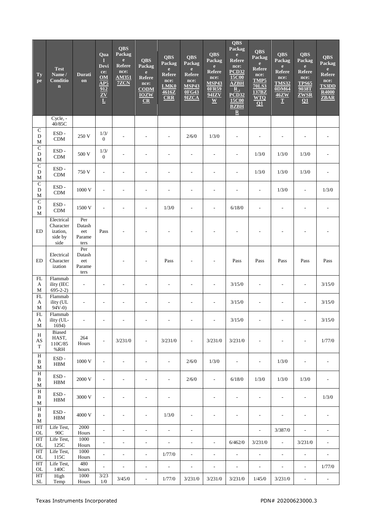| Ty<br>pe                                    | <b>Test</b><br>Name /<br>Conditio<br>$\mathbf n$       | <b>Durati</b><br>on                    | Qua<br>П<br>Devi<br>ce:<br>OM<br>AP5<br>912<br>$\frac{\overline{ZV}}{\underline{L}}$ | <b>QBS</b><br>Packag<br>$\mathbf{e}$<br><b>Refere</b><br>nce:<br><b>AM351</b><br>7ZCN | <b>QBS</b><br>Packag<br>$\mathbf{e}$<br><b>Refere</b><br>nce:<br><b>CODM</b><br><b>IOZW</b><br>CR | <b>QBS</b><br>Packag<br>$\mathbf{e}$<br>Refere<br>nce:<br>LMK0<br>4616Z<br><b>CRR</b> | <b>QBS</b><br>Packag<br>$\mathbf{e}$<br><b>Refere</b><br>nce:<br><b>MSP43</b><br><b>OFG43</b><br>9IZCA | <b>QBS</b><br>Packag<br>$\mathbf{e}$<br><b>Refere</b><br>nce:<br><b>MSP43</b><br><b>OFR59</b><br><b>94IZV</b><br>$\overline{\mathbf{W}}$ | QBS<br>Packag<br>$\mathbf{e}$<br><b>Refere</b><br>nce:<br><b>PCD32</b><br>15C00<br>AZBH<br>$\mathbf{R}$ ,<br>PCD32<br>15C00<br><b>BZBH</b><br>$\overline{\mathbf{R}}$ | <b>QBS</b><br>Packag<br>$\mathbf{e}$<br><b>Refere</b><br>nce:<br><b>TMP5</b><br><b>70LS3</b><br>137BZ<br><b>WTQ</b><br>$\overline{01}$ | <b>QBS</b><br>Packag<br>$\mathbf{e}$<br><b>Refere</b><br>nce:<br><b>TMS32</b><br>0DM64<br>46ZW<br>$\mathbf T$ | <b>QBS</b><br>Packag<br>$\mathbf{e}$<br>Refere<br>nce:<br><b>TPS65</b><br>9038T<br><b>ZWSR</b><br>$\Omega$ | <b>QBS</b><br>Packag<br>$\mathbf{e}$<br><b>Refere</b><br>nce:<br><b>TS3DD</b><br><b>R4000</b><br>ZBAR |
|---------------------------------------------|--------------------------------------------------------|----------------------------------------|--------------------------------------------------------------------------------------|---------------------------------------------------------------------------------------|---------------------------------------------------------------------------------------------------|---------------------------------------------------------------------------------------|--------------------------------------------------------------------------------------------------------|------------------------------------------------------------------------------------------------------------------------------------------|-----------------------------------------------------------------------------------------------------------------------------------------------------------------------|----------------------------------------------------------------------------------------------------------------------------------------|---------------------------------------------------------------------------------------------------------------|------------------------------------------------------------------------------------------------------------|-------------------------------------------------------------------------------------------------------|
|                                             | Cycle, -<br>40/85C                                     |                                        |                                                                                      |                                                                                       |                                                                                                   |                                                                                       |                                                                                                        |                                                                                                                                          |                                                                                                                                                                       |                                                                                                                                        |                                                                                                               |                                                                                                            |                                                                                                       |
| $\mathbf C$<br>D<br>M                       | $\mathop{\hbox{\rm ESD}}$ -<br>CDM                     | 250 V                                  | 1/3/<br>$\overline{0}$                                                               |                                                                                       |                                                                                                   |                                                                                       | 2/6/0                                                                                                  | 1/3/0                                                                                                                                    | $\overline{a}$                                                                                                                                                        |                                                                                                                                        |                                                                                                               |                                                                                                            |                                                                                                       |
| $\mathbf C$<br>D<br>M                       | $\mathop{\hbox{\rm ESD}}$ -<br>$\mathop{\rm CDM}$      | 500 V                                  | 1/3/<br>$\overline{0}$                                                               |                                                                                       | ٠                                                                                                 | ٠                                                                                     | ÷,                                                                                                     | $\overline{a}$                                                                                                                           | L,                                                                                                                                                                    | 1/3/0                                                                                                                                  | 1/3/0                                                                                                         | 1/3/0                                                                                                      |                                                                                                       |
| $\overline{C}$<br>D<br>M                    | ESD-<br>$\mathop{\rm CDM}$                             | 750 V                                  | L,                                                                                   |                                                                                       | ÷.                                                                                                | ÷                                                                                     | L,                                                                                                     | ٠                                                                                                                                        | L,                                                                                                                                                                    | 1/3/0                                                                                                                                  | 1/3/0                                                                                                         | 1/3/0                                                                                                      |                                                                                                       |
| $\overline{C}$<br>$\mathbf D$<br>M          | ESD-<br>CDM                                            | 1000 V                                 | $\overline{a}$                                                                       |                                                                                       |                                                                                                   |                                                                                       | ۰                                                                                                      |                                                                                                                                          |                                                                                                                                                                       |                                                                                                                                        | 1/3/0                                                                                                         | $\overline{\phantom{a}}$                                                                                   | 1/3/0                                                                                                 |
| $\overline{C}$<br>D<br>M                    | ESD-<br>$\mathbf{CDM}$                                 | 1500 V                                 | L,                                                                                   |                                                                                       |                                                                                                   | 1/3/0                                                                                 | ÷,                                                                                                     | ÷,                                                                                                                                       | 6/18/0                                                                                                                                                                |                                                                                                                                        |                                                                                                               |                                                                                                            |                                                                                                       |
| ED                                          | Electrical<br>Character<br>ization,<br>side by<br>side | Per<br>Datash<br>eet<br>Parame<br>ters | Pass                                                                                 |                                                                                       |                                                                                                   |                                                                                       |                                                                                                        |                                                                                                                                          |                                                                                                                                                                       |                                                                                                                                        |                                                                                                               |                                                                                                            |                                                                                                       |
| ED                                          | Electrical<br>Character<br>ization                     | Per<br>Datash<br>eet<br>Parame<br>ters |                                                                                      |                                                                                       |                                                                                                   | Pass                                                                                  |                                                                                                        |                                                                                                                                          | Pass                                                                                                                                                                  | Pass                                                                                                                                   | Pass                                                                                                          | Pass                                                                                                       | Pass                                                                                                  |
| FL<br>A<br>M                                | Flammab<br>ility (IEC<br>$695-2-2$                     | $\overline{\phantom{a}}$               | $\overline{a}$                                                                       |                                                                                       |                                                                                                   | ÷                                                                                     | L,                                                                                                     | ÷,                                                                                                                                       | 3/15/0                                                                                                                                                                |                                                                                                                                        |                                                                                                               | $\sim$                                                                                                     | 3/15/0                                                                                                |
| ${\rm FL}$<br>A<br>M                        | Flammab<br>ility (UL<br>$94V-0$                        | $\overline{a}$                         |                                                                                      |                                                                                       |                                                                                                   |                                                                                       |                                                                                                        | ٠                                                                                                                                        | 3/15/0                                                                                                                                                                |                                                                                                                                        |                                                                                                               | ٠                                                                                                          | 3/15/0                                                                                                |
| FL<br>A<br>M                                | Flammab<br>ility (UL-<br>1694)                         |                                        |                                                                                      |                                                                                       |                                                                                                   |                                                                                       |                                                                                                        |                                                                                                                                          | $3/15/0$                                                                                                                                                              |                                                                                                                                        |                                                                                                               |                                                                                                            | $3/15/0$                                                                                              |
| $\, {\rm H}$<br>AS<br>T                     | Biased<br>HAST,<br>110C/85<br>%RH                      | 264<br>Hours                           | $\overline{\phantom{a}}$                                                             | 3/231/0                                                                               | $\blacksquare$                                                                                    | 3/231/0                                                                               | $\overline{\phantom{a}}$                                                                               | 3/231/0                                                                                                                                  | 3/231/0                                                                                                                                                               | $\overline{\phantom{a}}$                                                                                                               | ÷,                                                                                                            | $\overline{\phantom{a}}$                                                                                   | 1/77/0                                                                                                |
| H<br>$\, {\bf B}$<br>$\mathbf M$            | ESD-<br><b>HBM</b>                                     | 1000 V                                 | $\overline{\phantom{a}}$                                                             | $\overline{a}$                                                                        | $\overline{a}$                                                                                    | $\overline{\phantom{a}}$                                                              | 2/6/0                                                                                                  | 1/3/0                                                                                                                                    | $\overline{\phantom{a}}$                                                                                                                                              | $\overline{\phantom{a}}$                                                                                                               | 1/3/0                                                                                                         | $\overline{\phantom{a}}$                                                                                   |                                                                                                       |
| $\, {\rm H}$<br>$\, {\bf B}$<br>$\mathbf M$ | ESD-<br><b>HBM</b>                                     | 2000 V                                 | $\frac{1}{2}$                                                                        | $\overline{\phantom{a}}$                                                              | $\overline{\phantom{a}}$                                                                          | $\overline{\phantom{a}}$                                                              | 2/6/0                                                                                                  | $\overline{\phantom{a}}$                                                                                                                 | 6/18/0                                                                                                                                                                | 1/3/0                                                                                                                                  | 1/3/0                                                                                                         | 1/3/0                                                                                                      | $\overline{\phantom{a}}$                                                                              |
| H<br>$\, {\bf B}$<br>$\mathbf M$            | $\mathop{\hbox{\rm ESD}}$ -<br>HBM                     | 3000 V                                 | $\overline{\phantom{a}}$                                                             | $\overline{\phantom{a}}$                                                              | ÷,                                                                                                | $\overline{\phantom{a}}$                                                              |                                                                                                        | $\overline{\phantom{a}}$                                                                                                                 | $\frac{1}{2}$                                                                                                                                                         | $\overline{\phantom{a}}$                                                                                                               | L,                                                                                                            | $\blacksquare$                                                                                             | 1/3/0                                                                                                 |
| $\, {\rm H}$<br>$\, {\bf B}$<br>$\mathbf M$ | $\mathop{\hbox{\rm ESD}}$ -<br>HBM                     | 4000 V                                 | ÷,                                                                                   | L,                                                                                    | ÷,                                                                                                | 1/3/0                                                                                 | $\overline{\phantom{a}}$                                                                               | $\overline{\phantom{a}}$                                                                                                                 | L,                                                                                                                                                                    | ÷,                                                                                                                                     | L,                                                                                                            | $\overline{\phantom{a}}$                                                                                   | L,                                                                                                    |
| HT<br>OL                                    | Life Test,<br>90C                                      | 2000<br>Hours                          | $\overline{\phantom{a}}$                                                             | ÷,                                                                                    | ÷,                                                                                                | $\overline{\phantom{a}}$                                                              | $\overline{\phantom{a}}$                                                                               |                                                                                                                                          |                                                                                                                                                                       | $\overline{a}$                                                                                                                         | 3/387/0                                                                                                       | $\frac{1}{2}$                                                                                              | $\overline{\phantom{a}}$                                                                              |
| HT<br>OL                                    | Life Test,<br>125C                                     | 1000<br>Hours                          | $\frac{1}{2}$                                                                        | ÷,                                                                                    | ÷,                                                                                                | $\overline{\phantom{a}}$                                                              | $\overline{\phantom{a}}$                                                                               | $\overline{\phantom{a}}$                                                                                                                 | 6/462/0                                                                                                                                                               | 3/231/0                                                                                                                                | $\overline{\phantom{a}}$                                                                                      | 3/231/0                                                                                                    | $\overline{\phantom{a}}$                                                                              |
| $\rm HT$<br>OL                              | Life Test,<br>115C                                     | 1000<br>Hours                          | L,                                                                                   | $\overline{\phantom{a}}$                                                              | ÷,                                                                                                | 1/77/0                                                                                | $\overline{\phantom{a}}$                                                                               | $\overline{\phantom{a}}$                                                                                                                 | $\frac{1}{2}$                                                                                                                                                         | $\blacksquare$                                                                                                                         | $\overline{\phantom{a}}$                                                                                      | $\overline{\phantom{a}}$                                                                                   | $\Box$                                                                                                |
| $\operatorname{HT}$<br>OL                   | Life Test,<br>140C                                     | 480<br>hours                           | ÷,                                                                                   | $\overline{\phantom{a}}$                                                              | $\overline{\phantom{a}}$                                                                          | $\overline{\phantom{a}}$                                                              | $\overline{\phantom{a}}$                                                                               | ÷,                                                                                                                                       | $\overline{\phantom{a}}$                                                                                                                                              | ÷,                                                                                                                                     | $\frac{1}{2}$                                                                                                 | $\overline{\phantom{a}}$                                                                                   | 1/77/0                                                                                                |
| $\operatorname{HT}$<br>SL                   | High<br>Temp                                           | 1000<br>Hours                          | 3/23<br>1/0                                                                          | 3/45/0                                                                                | $\blacksquare$                                                                                    | 1/77/0                                                                                | 3/231/0                                                                                                | 3/231/0                                                                                                                                  | 3/231/0                                                                                                                                                               | 1/45/0                                                                                                                                 | 3/231/0                                                                                                       | $\overline{\phantom{a}}$                                                                                   | $\blacksquare$                                                                                        |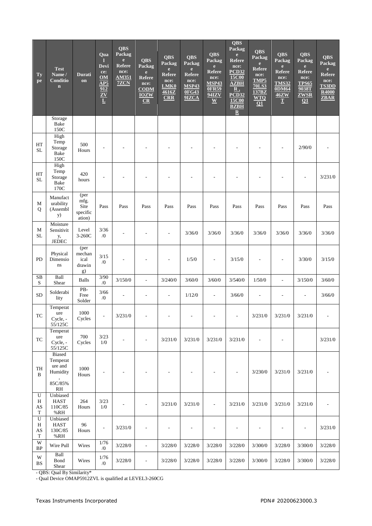| Ty<br>pe                                                           | <b>Test</b><br>Name /<br>Conditio<br>$\mathbf{n}$          | <b>Durati</b><br>on                        | Qua<br><b>Devi</b><br>ce:<br><b>OM</b><br>$\overline{\mathbf{AP5}}$<br>$\frac{912}{\underline{ZV}}$ | <b>QBS</b><br>Packag<br>$\mathbf{e}$<br><b>Refere</b><br>nce:<br><b>AM351</b><br>7ZCN | <b>QBS</b><br>Packag<br>$\mathbf{e}$<br><b>Refere</b><br>nce:<br><b>CODM</b><br><b>IOZW</b><br>CR | <b>QBS</b><br>Packag<br>$\mathbf{e}$<br>Refere<br>nce:<br>LMK0<br>4616Z<br>CRR | <b>QBS</b><br>Packag<br>$\mathbf{e}$<br><b>Refere</b><br>nce:<br><b>MSP43</b><br><b>OFG43</b><br>9IZCA | <b>QBS</b><br>Packag<br>$\mathbf{e}$<br><b>Refere</b><br>nce:<br><b>MSP43</b><br>0FR59<br><b>94IZV</b><br>$\underline{\mathbf{W}}$ | <b>QBS</b><br>Packag<br>$\mathbf{e}$<br><b>Refere</b><br>nce:<br>PCD32<br>15C00<br><b>AZBH</b><br>R,<br><b>PCD32</b><br>15C00<br><b>BZBH</b><br>$\overline{\mathbf{R}}$ | <b>QBS</b><br>Packag<br>$\mathbf{e}$<br><b>Refere</b><br>nce:<br>TMP5<br><b>70LS3</b><br>137BZ<br><b>WTQ</b><br>Q1 | <b>QBS</b><br>Packag<br>$\mathbf{e}$<br><b>Refere</b><br>nce:<br><b>TMS32</b><br><b>0DM64</b><br>46ZW<br>$\mathbf T$ | <b>QBS</b><br>Packag<br>$\mathbf{e}$<br><b>Refere</b><br>nce:<br><b>TPS65</b><br>9038T<br><b>ZWSR</b><br>$\Omega$ | <b>QBS</b><br>Packag<br>$\mathbf{e}$<br><b>Refere</b><br>nce:<br><b>TS3DD</b><br><b>R4000</b><br>ZBAR |
|--------------------------------------------------------------------|------------------------------------------------------------|--------------------------------------------|-----------------------------------------------------------------------------------------------------|---------------------------------------------------------------------------------------|---------------------------------------------------------------------------------------------------|--------------------------------------------------------------------------------|--------------------------------------------------------------------------------------------------------|------------------------------------------------------------------------------------------------------------------------------------|-------------------------------------------------------------------------------------------------------------------------------------------------------------------------|--------------------------------------------------------------------------------------------------------------------|----------------------------------------------------------------------------------------------------------------------|-------------------------------------------------------------------------------------------------------------------|-------------------------------------------------------------------------------------------------------|
|                                                                    | Storage<br>Bake<br>150C                                    |                                            |                                                                                                     |                                                                                       |                                                                                                   |                                                                                |                                                                                                        |                                                                                                                                    |                                                                                                                                                                         |                                                                                                                    |                                                                                                                      |                                                                                                                   |                                                                                                       |
| HT<br><b>SL</b>                                                    | High<br>Temp<br>Storage<br>Bake<br>150C                    | 500<br>Hours                               |                                                                                                     |                                                                                       |                                                                                                   |                                                                                |                                                                                                        |                                                                                                                                    |                                                                                                                                                                         |                                                                                                                    |                                                                                                                      | 2/90/0                                                                                                            |                                                                                                       |
| HT<br><b>SL</b>                                                    | High<br>Temp<br>Storage<br>Bake<br>170C                    | 420<br>hours                               |                                                                                                     |                                                                                       |                                                                                                   |                                                                                |                                                                                                        |                                                                                                                                    |                                                                                                                                                                         |                                                                                                                    |                                                                                                                      |                                                                                                                   | 3/231/0                                                                                               |
| M<br>Q                                                             | Manufact<br>urability<br>(Assembl<br>y)                    | (per<br>mfg.<br>Site<br>specific<br>ation) | Pass                                                                                                | Pass                                                                                  | Pass                                                                                              | Pass                                                                           | Pass                                                                                                   | Pass                                                                                                                               | Pass                                                                                                                                                                    | Pass                                                                                                               | Pass                                                                                                                 | Pass                                                                                                              | Pass                                                                                                  |
| $\mathbf M$<br><b>SL</b>                                           | Moisture<br>Sensitivit<br>y,<br><b>JEDEC</b>               | Level<br>3-260C                            | $3/36$<br>$\sqrt{0}$                                                                                |                                                                                       |                                                                                                   |                                                                                | 3/36/0                                                                                                 | 3/36/0                                                                                                                             | 3/36/0                                                                                                                                                                  | 3/36/0                                                                                                             | 3/36/0                                                                                                               | 3/36/0                                                                                                            | 3/36/0                                                                                                |
| PD                                                                 | Physical<br>Dimensio<br>ns                                 | (per<br>mechan<br>ical<br>drawin<br>g)     | 3/15<br>$\sqrt{0}$                                                                                  |                                                                                       |                                                                                                   |                                                                                | 1/5/0                                                                                                  |                                                                                                                                    | 3/15/0                                                                                                                                                                  |                                                                                                                    |                                                                                                                      | 3/30/0                                                                                                            | 3/15/0                                                                                                |
| $\overline{\text{SB}}$<br>$\rm S$                                  | Ball<br>Shear                                              | <b>Balls</b>                               | 3/90<br>$/0\,$                                                                                      | 3/150/0                                                                               | ÷,                                                                                                | 3/240/0                                                                        | 3/60/0                                                                                                 | 3/60/0                                                                                                                             | 3/540/0                                                                                                                                                                 | 1/50/0                                                                                                             | $\overline{a}$                                                                                                       | 3/150/0                                                                                                           | 3/60/0                                                                                                |
| <b>SD</b>                                                          | Solderabi<br>lity                                          | PB-<br>Free<br>Solder                      | 3/66<br>$\sqrt{0}$                                                                                  |                                                                                       |                                                                                                   | ä,                                                                             | 1/12/0                                                                                                 | ÷,                                                                                                                                 | 3/66/0                                                                                                                                                                  |                                                                                                                    |                                                                                                                      | ÷,                                                                                                                | 3/66/0                                                                                                |
| TC                                                                 | Temperat<br>ure<br>Cycle, -<br>55/125C                     | 1000<br>Cycles                             |                                                                                                     | 3/231/0                                                                               |                                                                                                   |                                                                                |                                                                                                        |                                                                                                                                    |                                                                                                                                                                         | 3/231/0                                                                                                            | 3/231/0                                                                                                              | 3/231/0                                                                                                           |                                                                                                       |
| TC                                                                 | Temperat<br>ure<br>Cycle, -<br>55/125C                     | 700<br>Cycles                              | 3/23<br>1/0                                                                                         |                                                                                       |                                                                                                   | 3/231/0                                                                        | 3/231/0                                                                                                | 3/231/0                                                                                                                            | 3/231/0                                                                                                                                                                 |                                                                                                                    |                                                                                                                      |                                                                                                                   | 3/231/0                                                                                               |
| $\ensuremath{\mathsf{T}}\ensuremath{\mathsf{H}}$<br>B              | Biased<br>Temperat<br>ure and<br>Humidity<br>85C/85%<br>RH | 1000<br>Hours                              |                                                                                                     |                                                                                       |                                                                                                   |                                                                                |                                                                                                        |                                                                                                                                    |                                                                                                                                                                         | 3/230/0                                                                                                            | 3/231/0                                                                                                              | 3/231/0                                                                                                           |                                                                                                       |
| ${\bf U}$<br>H<br>$\mathbf{A}\mathbf{S}$<br>$\mathbf T$            | Unbiased<br><b>HAST</b><br>110C/85<br>%RH                  | 264<br>Hours                               | 3/23<br>1/0                                                                                         |                                                                                       |                                                                                                   | 3/231/0                                                                        | 3/231/0                                                                                                | $\overline{\phantom{a}}$                                                                                                           | 3/231/0                                                                                                                                                                 | 3/231/0                                                                                                            | 3/231/0                                                                                                              | 3/231/0                                                                                                           |                                                                                                       |
| ${\bf U}$<br>$\, {\rm H}$<br>$\mathbf{A}\mathbf{S}$<br>$\mathbf T$ | Unbiased<br><b>HAST</b><br>130C/85<br>$\%RH$               | 96<br>Hours                                | L,                                                                                                  | 3/231/0                                                                               | $\overline{\phantom{a}}$                                                                          | ÷,                                                                             | ÷,                                                                                                     | ä,                                                                                                                                 | ÷,                                                                                                                                                                      |                                                                                                                    |                                                                                                                      | $\overline{\phantom{a}}$                                                                                          | 3/231/0                                                                                               |
| W<br>$\rm BP$                                                      | Wire Pull                                                  | Wires                                      | $1/76$<br>$\sqrt{0}$                                                                                | 3/228/0                                                                               | ÷,                                                                                                | 3/228/0                                                                        | 3/228/0                                                                                                | 3/228/0                                                                                                                            | 3/228/0                                                                                                                                                                 | 3/300/0                                                                                                            | 3/228/0                                                                                                              | 3/300/0                                                                                                           | 3/228/0                                                                                               |
| W<br>$_{\rm BS}$                                                   | Ball<br>Bond<br>Shear                                      | Wires                                      | $1/76$<br>$\sqrt{0}$                                                                                | 3/228/0                                                                               | $\overline{\phantom{a}}$                                                                          | 3/228/0                                                                        | 3/228/0                                                                                                | 3/228/0                                                                                                                            | 3/228/0                                                                                                                                                                 | 3/300/0                                                                                                            | 3/228/0                                                                                                              | 3/300/0                                                                                                           | 3/228/0                                                                                               |

- QBS: Qual By Similarity\*

- Qual Device OMAP5912ZVL is qualified at LEVEL3-260CG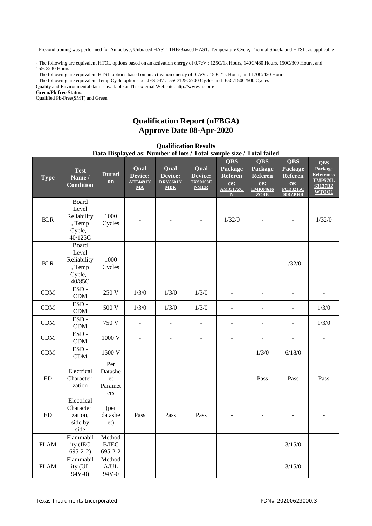- Preconditioning was performed for Autoclave, Unbiased HAST, THB/Biased HAST, Temperature Cycle, Thermal Shock, and HTSL, as applicable

- The following are equivalent HTOL options based on an activation energy of 0.7eV : 125C/1k Hours, 140C/480 Hours, 150C/300 Hours, and 155C/240 Hours

- The following are equivalent HTSL options based on an activation energy of 0.7eV : 150C/1k Hours, and 170C/420 Hours

- The following are equivalent Temp Cycle options per JESD47 : -55C/125C/700 Cycles and -65C/150C/500 Cycles

Quality and Environmental data is available at TI's external Web site: http://www.ti.com/

**Green/Pb-free Status:**

Qualified Pb-Free(SMT) and Green

# **Qualification Report (nFBGA) Approve Date 08-Apr-2020**

**Qualification Results**

| Data Displayed as: Number of lots / Total sample size / Total failed |                                                                |                                         |                                                                 |                                                         |                                                                       |                                                                                |                                                                                  |                                                                              |                                                                                         |  |
|----------------------------------------------------------------------|----------------------------------------------------------------|-----------------------------------------|-----------------------------------------------------------------|---------------------------------------------------------|-----------------------------------------------------------------------|--------------------------------------------------------------------------------|----------------------------------------------------------------------------------|------------------------------------------------------------------------------|-----------------------------------------------------------------------------------------|--|
| <b>Type</b>                                                          | <b>Test</b><br>Name /<br><b>Condition</b>                      | <b>Durati</b><br>on                     | Qual<br>Device:<br><b>AFE4491N</b><br>$\underline{\mathbf{MA}}$ | <b>Qual</b><br>Device:<br><b>DRV8601N</b><br><b>MBR</b> | <b>Qual</b><br>Device:<br><b>TXS0108E</b><br>$\overline{\text{NMER}}$ | <b>QBS</b><br>Package<br><b>Referen</b><br>ce:<br><b>AM3517ZC</b><br>${\bf N}$ | <b>QBS</b><br>Package<br><b>Referen</b><br>ce:<br><b>LMK04616</b><br><b>ZCRR</b> | <b>QBS</b><br>Package<br><b>Referen</b><br>ce:<br><b>PCD3215C</b><br>00BZBHR | <b>QBS</b><br>Package<br><b>Reference:</b><br><b>TMP570L</b><br><b>S3137BZ</b><br>WTOQ1 |  |
| <b>BLR</b>                                                           | Board<br>Level<br>Reliability<br>, Temp<br>Cycle, -<br>40/125C | 1000<br>Cycles                          |                                                                 |                                                         |                                                                       | 1/32/0                                                                         |                                                                                  |                                                                              | 1/32/0                                                                                  |  |
| <b>BLR</b>                                                           | Board<br>Level<br>Reliability<br>, Temp<br>Cycle, -<br>40/85C  | 1000<br>Cycles                          |                                                                 |                                                         |                                                                       |                                                                                |                                                                                  | 1/32/0                                                                       |                                                                                         |  |
| CDM                                                                  | $\mathop{\hbox{\rm ESD}}$ -<br>CDM                             | 250 V                                   | 1/3/0                                                           | 1/3/0                                                   | 1/3/0                                                                 |                                                                                |                                                                                  |                                                                              |                                                                                         |  |
| CDM                                                                  | $ESD -$<br>CDM                                                 | 500 V                                   | 1/3/0                                                           | 1/3/0                                                   | 1/3/0                                                                 | ÷                                                                              |                                                                                  | ٠                                                                            | 1/3/0                                                                                   |  |
| CDM                                                                  | $ESD -$<br>CDM                                                 | 750 V                                   |                                                                 |                                                         | $\overline{a}$                                                        | -                                                                              |                                                                                  | $\qquad \qquad \blacksquare$                                                 | 1/3/0                                                                                   |  |
| CDM                                                                  | $ESD -$<br>CDM                                                 | 1000 V                                  |                                                                 |                                                         |                                                                       | ۰                                                                              |                                                                                  |                                                                              |                                                                                         |  |
| CDM                                                                  | $ESD -$<br>$\mathop{\rm CDM}$                                  | 1500 V                                  |                                                                 | ÷                                                       | ÷,                                                                    | ÷,                                                                             | 1/3/0                                                                            | 6/18/0                                                                       | ٠                                                                                       |  |
| ED                                                                   | Electrical<br>Characteri<br>zation                             | Per<br>Datashe<br>et<br>Paramet<br>ers  |                                                                 |                                                         |                                                                       |                                                                                | Pass                                                                             | Pass                                                                         | Pass                                                                                    |  |
| $\mathop{\rm ED}\nolimits$                                           | Electrical<br>Characteri<br>zation,<br>side by<br>side         | (per<br>datashe<br>et)                  | Pass                                                            | Pass                                                    | Pass                                                                  |                                                                                |                                                                                  |                                                                              |                                                                                         |  |
| <b>FLAM</b>                                                          | Flammabil<br>ity (IEC<br>$695 - 2 - 2)$                        | Method<br>$\rm\,B/IEC$<br>$695 - 2 - 2$ |                                                                 |                                                         | ÷                                                                     |                                                                                |                                                                                  | 3/15/0                                                                       |                                                                                         |  |
| <b>FLAM</b>                                                          | Flammabil<br>ity (UL<br>$94V-0$                                | Method<br>A/UL<br>94V-0                 |                                                                 |                                                         |                                                                       |                                                                                |                                                                                  | 3/15/0                                                                       |                                                                                         |  |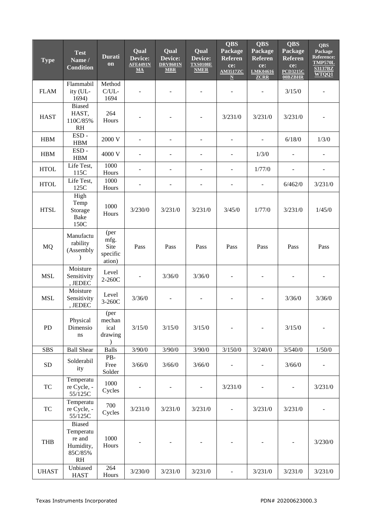| <b>Type</b>  | <b>Test</b><br>Name /<br><b>Condition</b>                          | <b>Durati</b><br>on                        | Qual<br>Device:<br><b>AFE4491N</b><br>MA | Qual<br>Device:<br><b>DRV8601N</b><br><b>MBR</b> | Qual<br>Device:<br><b>TXS0108E</b><br><b>NMER</b> | <b>QBS</b><br>Package<br>Referen<br>ce:<br><b>AM3517ZC</b><br>$\mathbb N$ | <b>QBS</b><br>Package<br><b>Referen</b><br>ce:<br>LMK04616<br><b>ZCRR</b> | <b>QBS</b><br>Package<br><b>Referen</b><br>ce:<br><b>PCD3215C</b><br><b>00BZBHR</b> | <b>QBS</b><br>Package<br><b>Reference:</b><br><b>TMP570L</b><br><b>S3137BZ</b><br>WTQQ1 |
|--------------|--------------------------------------------------------------------|--------------------------------------------|------------------------------------------|--------------------------------------------------|---------------------------------------------------|---------------------------------------------------------------------------|---------------------------------------------------------------------------|-------------------------------------------------------------------------------------|-----------------------------------------------------------------------------------------|
| <b>FLAM</b>  | Flammabil<br>ity (UL-<br>1694)                                     | Method<br>$C/UL$ -<br>1694                 |                                          |                                                  |                                                   |                                                                           |                                                                           | 3/15/0                                                                              |                                                                                         |
| <b>HAST</b>  | <b>Biased</b><br>HAST,<br>110C/85%<br><b>RH</b>                    | 264<br>Hours                               |                                          |                                                  |                                                   | 3/231/0                                                                   | 3/231/0                                                                   | 3/231/0                                                                             |                                                                                         |
| <b>HBM</b>   | $ESD -$<br><b>HBM</b>                                              | 2000 V                                     |                                          |                                                  | ÷,                                                | $\overline{a}$                                                            |                                                                           | 6/18/0                                                                              | 1/3/0                                                                                   |
| <b>HBM</b>   | $ESD -$<br><b>HBM</b>                                              | 4000 V                                     |                                          |                                                  |                                                   | $\overline{a}$                                                            | 1/3/0                                                                     |                                                                                     |                                                                                         |
| <b>HTOL</b>  | Life Test,<br>115C                                                 | 1000<br>Hours                              |                                          |                                                  |                                                   |                                                                           | 1/77/0                                                                    |                                                                                     |                                                                                         |
| <b>HTOL</b>  | Life Test,<br>125C                                                 | 1000<br>Hours                              |                                          |                                                  |                                                   | L,                                                                        |                                                                           | 6/462/0                                                                             | 3/231/0                                                                                 |
| <b>HTSL</b>  | High<br>Temp<br>Storage<br><b>Bake</b><br>150C                     | 1000<br>Hours                              | 3/230/0                                  | 3/231/0                                          | 3/231/0                                           | 3/45/0                                                                    | 1/77/0                                                                    | 3/231/0                                                                             | 1/45/0                                                                                  |
| <b>MQ</b>    | Manufactu<br>rability<br>(Assembly<br>$\lambda$                    | (per<br>mfg.<br>Site<br>specific<br>ation) | Pass                                     | Pass                                             | Pass                                              | Pass                                                                      | Pass                                                                      | Pass                                                                                | Pass                                                                                    |
| <b>MSL</b>   | Moisture<br>Sensitivity<br>, JEDEC                                 | Level<br>$2-260C$                          |                                          | 3/36/0                                           | 3/36/0                                            |                                                                           |                                                                           |                                                                                     |                                                                                         |
| <b>MSL</b>   | Moisture<br>Sensitivity<br>, JEDEC                                 | Level<br>3-260C                            | 3/36/0                                   |                                                  |                                                   |                                                                           |                                                                           | 3/36/0                                                                              | 3/36/0                                                                                  |
| PD           | Physical<br>Dimensio<br>$\bf ns$                                   | (per<br>mechan<br>ical<br>drawing          | 3/15/0                                   | 3/15/0                                           | 3/15/0                                            |                                                                           |                                                                           | 3/15/0                                                                              |                                                                                         |
| <b>SBS</b>   | <b>Ball Shear</b>                                                  | <b>Balls</b>                               | 3/90/0                                   | 3/90/0                                           | 3/90/0                                            | 3/150/0                                                                   | 3/240/0                                                                   | 3/540/0                                                                             | 1/50/0                                                                                  |
| ${\rm SD}$   | Solderabil<br>ity                                                  | PB-<br>Free<br>Solder                      | 3/66/0                                   | 3/66/0                                           | 3/66/0                                            |                                                                           |                                                                           | 3/66/0                                                                              |                                                                                         |
| TC           | Temperatu<br>re Cycle, -<br>55/125C                                | 1000<br>Cycles                             |                                          |                                                  | $\overline{\phantom{a}}$                          | 3/231/0                                                                   |                                                                           | $\overline{\phantom{a}}$                                                            | 3/231/0                                                                                 |
| TC           | Temperatu<br>re Cycle, -<br>55/125C                                | 700<br>Cycles                              | 3/231/0                                  | 3/231/0                                          | 3/231/0                                           | $\Box$                                                                    | 3/231/0                                                                   | 3/231/0                                                                             |                                                                                         |
| <b>THB</b>   | <b>Biased</b><br>Temperatu<br>re and<br>Humidity,<br>85C/85%<br>RH | 1000<br>Hours                              |                                          |                                                  |                                                   |                                                                           |                                                                           |                                                                                     | 3/230/0                                                                                 |
| <b>UHAST</b> | Unbiased<br><b>HAST</b>                                            | 264<br>Hours                               | 3/230/0                                  | 3/231/0                                          | 3/231/0                                           | $\overline{\phantom{0}}$                                                  | 3/231/0                                                                   | 3/231/0                                                                             | 3/231/0                                                                                 |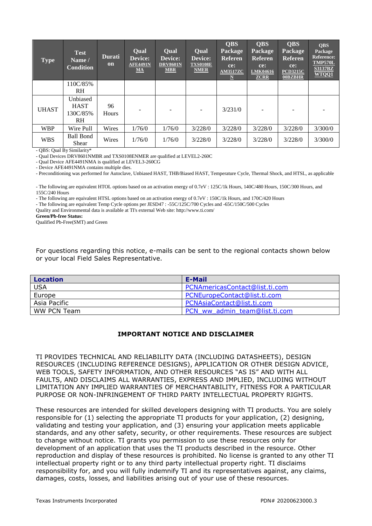| <b>Type</b>  | <b>Test</b><br>Name/<br><b>Condition</b>         | <b>Durati</b><br>on | <b>Oual</b><br>Device:<br><b>AFE4491N</b><br>$MA$ | Qual<br>Device:<br><b>DRV8601N</b><br><b>MBR</b> | <b>Oual</b><br>Device:<br><b>TXS0108E</b><br><b>NMER</b> | <b>QBS</b><br>Package<br><b>Referen</b><br>ce:<br><b>AM3517ZC</b><br>$\mathbf N$ | <b>QBS</b><br>Package<br><b>Referen</b><br>ce:<br>LMK04616<br><b>ZCRR</b> | <b>QBS</b><br>Package<br><b>Referen</b><br>ce:<br><b>PCD3215C</b><br>00BZBHR | <b>QBS</b><br>Package<br><b>Reference:</b><br><b>TMP570L</b><br><b>S3137BZ</b><br>WTQQ1 |
|--------------|--------------------------------------------------|---------------------|---------------------------------------------------|--------------------------------------------------|----------------------------------------------------------|----------------------------------------------------------------------------------|---------------------------------------------------------------------------|------------------------------------------------------------------------------|-----------------------------------------------------------------------------------------|
|              | 110C/85%<br>RH                                   |                     |                                                   |                                                  |                                                          |                                                                                  |                                                                           |                                                                              |                                                                                         |
| <b>UHAST</b> | Unbiased<br><b>HAST</b><br>130C/85%<br><b>RH</b> | 96<br><b>Hours</b>  |                                                   |                                                  |                                                          | 3/231/0                                                                          |                                                                           |                                                                              |                                                                                         |
| <b>WBP</b>   | Wire Pull                                        | Wires               | 1/76/0                                            | 1/76/0                                           | 3/228/0                                                  | 3/228/0                                                                          | 3/228/0                                                                   | 3/228/0                                                                      | 3/300/0                                                                                 |
| <b>WBS</b>   | Ball Bond<br>Shear                               | Wires               | 1/76/0                                            | 1/76/0                                           | 3/228/0                                                  | 3/228/0                                                                          | 3/228/0                                                                   | 3/228/0                                                                      | 3/300/0                                                                                 |

- QBS: Qual By Similarity\*

- Qual Devices DRV8601NMBR and TXS0108ENMER are qualified at LEVEL2-260C

- Qual Device AFE4491NMA is qualified at LEVEL3-260CG

- Device AFE4491NMA contains multiple dies.

- Preconditioning was performed for Autoclave, Unbiased HAST, THB/Biased HAST, Temperature Cycle, Thermal Shock, and HTSL, as applicable

- The following are equivalent HTOL options based on an activation energy of 0.7eV : 125C/1k Hours, 140C/480 Hours, 150C/300 Hours, and 155C/240 Hours

- The following are equivalent HTSL options based on an activation energy of 0.7eV : 150C/1k Hours, and 170C/420 Hours

- The following are equivalent Temp Cycle options per JESD47 : -55C/125C/700 Cycles and -65C/150C/500 Cycles

Quality and Environmental data is available at TI's external Web site: http://www.ti.com/

**Green/Pb-free Status:**

Qualified Pb-Free(SMT) and Green

For questions regarding this notice, e-mails can be sent to the regional contacts shown below or your local Field Sales Representative.

| <b>Location</b> | E-Mail                         |
|-----------------|--------------------------------|
| USA             | PCNAmericasContact@list.ti.com |
| Europe          | PCNEuropeContact@list.ti.com   |
| Asia Pacific    | PCNAsiaContact@list.ti.com     |
| WW PCN Team     | PCN ww admin team@list.ti.com  |

### **IMPORTANT NOTICE AND DISCLAIMER**

TI PROVIDES TECHNICAL AND RELIABILITY DATA (INCLUDING DATASHEETS), DESIGN RESOURCES (INCLUDING REFERENCE DESIGNS), APPLICATION OR OTHER DESIGN ADVICE, WEB TOOLS, SAFETY INFORMATION, AND OTHER RESOURCES "AS IS" AND WITH ALL FAULTS, AND DISCLAIMS ALL WARRANTIES, EXPRESS AND IMPLIED, INCLUDING WITHOUT LIMITATION ANY IMPLIED WARRANTIES OF MERCHANTABILITY, FITNESS FOR A PARTICULAR PURPOSE OR NON-INFRINGEMENT OF THIRD PARTY INTELLECTUAL PROPERTY RIGHTS.

These resources are intended for skilled developers designing with TI products. You are solely responsible for (1) selecting the appropriate TI products for your application, (2) designing, validating and testing your application, and (3) ensuring your application meets applicable standards, and any other safety, security, or other requirements. These resources are subject to change without notice. TI grants you permission to use these resources only for development of an application that uses the TI products described in the resource. Other reproduction and display of these resources is prohibited. No license is granted to any other TI intellectual property right or to any third party intellectual property right. TI disclaims responsibility for, and you will fully indemnify TI and its representatives against, any claims, damages, costs, losses, and liabilities arising out of your use of these resources.